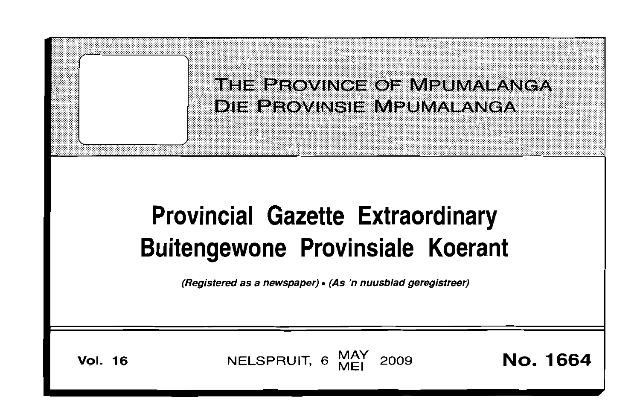

**Vol. 16** 

MAY<br>MFI NELSPRUIT, 6 2009

No. 1664